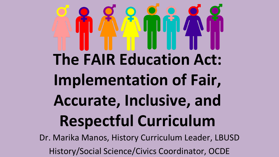# **The FAIR Education Act: Implementation of Fair, Accurate, Inclusive, and Respectful Curriculum**

Dr. Marika Manos, History Curriculum Leader, LBUSD History/Social Science/Civics Coordinator, OCDE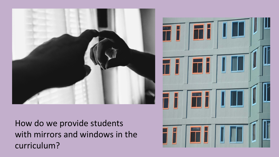

How do we provide students with mirrors and windows in the curriculum?

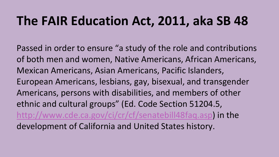#### **The FAIR Education Act, 2011, aka SB 48**

Passed in order to ensure "a study of the role and contributions of both men and women, Native Americans, African Americans, Mexican Americans, Asian Americans, Pacific Islanders, European Americans, lesbians, gay, bisexual, and transgender Americans, persons with disabilities, and members of other ethnic and cultural groups" (Ed. Code Section 51204.5, [http://www.cde.ca.gov/ci/cr/cf/senatebill48faq.asp\)](http://www.cde.ca.gov/ci/cr/cf/senatebill48faq.asp) in the development of California and United States history.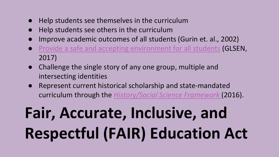- Help students see themselves in the curriculum
- Help students see others in the curriculum
- Improve academic outcomes of all students (Gurin et. al., 2002)
- [Provide a safe and accepting environment for all students](https://www.glsen.org/article/2017-national-school-climate-survey) (GLSEN, 2017)
- Challenge the single story of any one group, multiple and intersecting identities
- Represent current historical scholarship and state-mandated curriculum through the *[History/Social Science Framework](https://drive.google.com/open?id=1heNJQhigBo4zcn3nA70FL4VYdvbnB9D-)* (2016).

# **Fair, Accurate, Inclusive, and Respectful (FAIR) Education Act**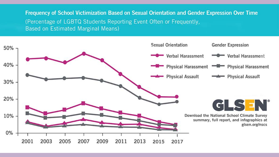Frequency of School Victimization Based on Sexual Orientation and Gender Expression Over Time (Percentage of LGBTQ Students Reporting Event Often or Frequently, Based on Estimated Marginal Means)

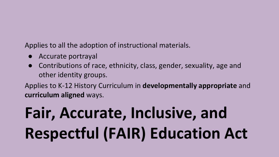#### Applies to all the adoption of instructional materials.

- Accurate portrayal
- Contributions of race, ethnicity, class, gender, sexuality, age and other identity groups.

Applies to K-12 History Curriculum in **developmentally appropriate** and **curriculum aligned** ways.

# **Fair, Accurate, Inclusive, and Respectful (FAIR) Education Act**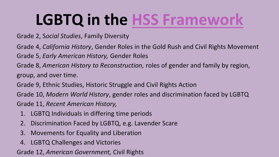### **LGBTQ in the [HSS Framework](https://drive.google.com/open?id=1heNJQhigBo4zcn3nA70FL4VYdvbnB9D-)**

- Grade 2, S*ocial Studies*, Family Diversity
- Grade 4, *California History*, Gender Roles in the Gold Rush and Civil Rights Movement
- Grade 5, *Early American History,* Gender Roles
- Grade 8, *American History to Reconstruction,* roles of gender and family by region, group, and over time.
- Grade 9, Ethnic Studies, Historic Struggle and Civil Rights Action
- Grade 10, *Modern World History*, gender roles and discrimination faced by LGBTQ
- Grade 11, *Recent American History,* 
	- 1. LGBTQ Individuals in differing time periods
	- 2. Discrimination Faced by LGBTQ, e.g. Lavender Scare
	- 3. Movements for Equality and Liberation
	- 4. LGBTQ Challenges and Victories

Grade 12, *American Government,* Civil Rights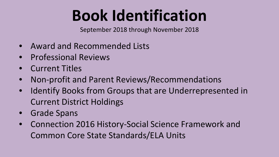### **Book Identification**

September 2018 through November 2018

- Award and Recommended Lists
- Professional Reviews
- Current Titles
- Non-profit and Parent Reviews/Recommendations
- Identify Books from Groups that are Underrepresented in Current District Holdings
- Grade Spans
- Connection 2016 History-Social Science Framework and Common Core State Standards/ELA Units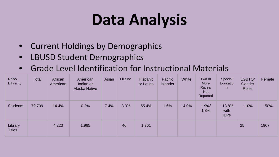### **Data Analysis**

- Current Holdings by Demographics
- LBUSD Student Demographics
- Grade Level Identification for Instructional Materials

| Race/<br>Ethnicity       | Total  | African<br>American | American<br>Indian or<br>Alaska Native | Asian | Filipino | Hispanic<br>or Latino | Pacific<br>Islander | White | Two or<br>More<br>Races/<br><b>Not</b><br>Reported | Special<br>Educatio<br>n.        | LGBTQ/<br>Gender<br><b>Roles</b> | Female |
|--------------------------|--------|---------------------|----------------------------------------|-------|----------|-----------------------|---------------------|-------|----------------------------------------------------|----------------------------------|----------------------------------|--------|
| <b>Students</b>          | 79,709 | 14.4%               | 0.2%                                   | 7.4%  | 3.3%     | 55.4%                 | 1.6%                | 14.0% | 1.9%/<br>1.8%                                      | $~13.8\%$<br>with<br><b>IEPs</b> | $~10\%$                          | $-50%$ |
| Library<br><b>Titles</b> |        | 4,223               | 1,965                                  |       | 46       | 1,361                 |                     |       |                                                    |                                  | 25                               | 1907   |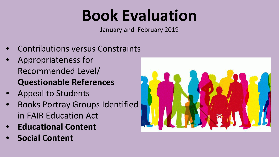### **Book Evaluation**

January and February 2019

- Contributions versus Constraints
- Appropriateness for Recommended Level/ **Questionable References**
- Appeal to Students
- Books Portray Groups Identified in FAIR Education Act
- **Educational Content**
- **Social Content**

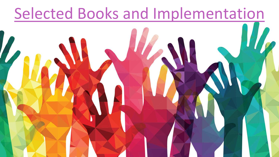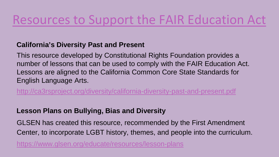#### [Resources to Support the FAIR Education Act](https://www.lacoe.edu/Curriculum-Instruction/History-Social-Science/FAIR-Act)

#### **California's Diversity Past and Present**

This resource developed by Constitutional Rights Foundation provides a number of lessons that can be used to comply with the FAIR Education Act. Lessons are aligned to the California Common Core State Standards for English Language Arts.

<http://ca3rsproject.org/diversity/california-diversity-past-and-present.pdf>

#### **Lesson Plans on Bullying, Bias and Diversity**

GLSEN has created this resource, recommended by the First Amendment Center, to incorporate LGBT history, themes, and people into the curriculum.

<https://www.glsen.org/educate/resources/lesson-plans>